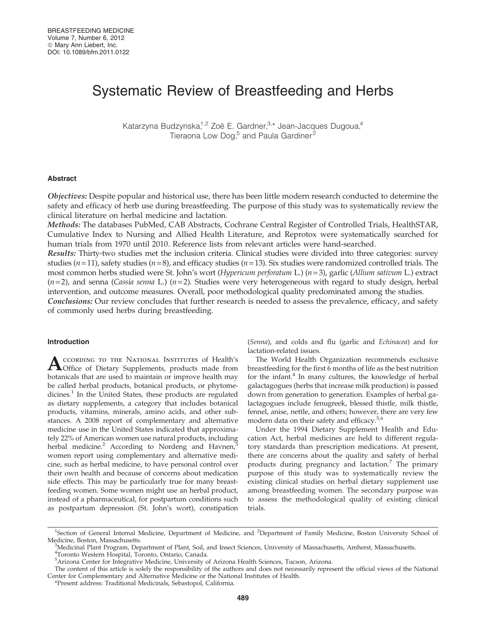# Systematic Review of Breastfeeding and Herbs

Katarzyna Budzynska,<sup>1,2</sup> Zoë E. Gardner,<sup>3,\*</sup> Jean-Jacques Dugoua,<sup>4</sup> Tieraona Low Dog,<sup>5</sup> and Paula Gardiner<sup>2</sup>

### Abstract

Objectives: Despite popular and historical use, there has been little modern research conducted to determine the safety and efficacy of herb use during breastfeeding. The purpose of this study was to systematically review the clinical literature on herbal medicine and lactation.

Methods: The databases PubMed, CAB Abstracts, Cochrane Central Register of Controlled Trials, HealthSTAR, Cumulative Index to Nursing and Allied Health Literature, and Reprotox were systematically searched for human trials from 1970 until 2010. Reference lists from relevant articles were hand-searched.

Results: Thirty-two studies met the inclusion criteria. Clinical studies were divided into three categories: survey studies ( $n=11$ ), safety studies ( $n=8$ ), and efficacy studies ( $n=13$ ). Six studies were randomized controlled trials. The most common herbs studied were St. John's wort (Hypericum perforatum L.) ( $n=3$ ), garlic (Allium sativum L.) extract  $(n=2)$ , and senna (Cassia senna L.)  $(n=2)$ . Studies were very heterogeneous with regard to study design, herbal intervention, and outcome measures. Overall, poor methodological quality predominated among the studies.

Conclusions: Our review concludes that further research is needed to assess the prevalence, efficacy, and safety of commonly used herbs during breastfeeding.

## Introduction

ACCORDING TO THE NATIONAL INSTITUTES of Health's<br>
Office of Dietary Supplements, products made from botanicals that are used to maintain or improve health may be called herbal products, botanical products, or phytomedicines.<sup>1</sup> In the United States, these products are regulated as dietary supplements, a category that includes botanical products, vitamins, minerals, amino acids, and other substances. A 2008 report of complementary and alternative medicine use in the United States indicated that approximately 22% of American women use natural products, including herbal medicine.<sup>2</sup> According to Nordeng and Havnen,<sup>3</sup> women report using complementary and alternative medicine, such as herbal medicine, to have personal control over their own health and because of concerns about medication side effects. This may be particularly true for many breastfeeding women. Some women might use an herbal product, instead of a pharmaceutical, for postpartum conditions such as postpartum depression (St. John's wort), constipation (Senna), and colds and flu (garlic and Echinacea) and for lactation-related issues.

The World Health Organization recommends exclusive breastfeeding for the first 6 months of life as the best nutrition for the infant. $4$  In many cultures, the knowledge of herbal galactagogues (herbs that increase milk production) is passed down from generation to generation. Examples of herbal galactagogues include fenugreek, blessed thistle, milk thistle, fennel, anise, nettle, and others; however, there are very few modern data on their safety and efficacy.<sup>5,6</sup>

Under the 1994 Dietary Supplement Health and Education Act, herbal medicines are held to different regulatory standards than prescription medications. At present, there are concerns about the quality and safety of herbal products during pregnancy and lactation.<sup>7</sup> The primary purpose of this study was to systematically review the existing clinical studies on herbal dietary supplement use among breastfeeding women. The secondary purpose was to assess the methodological quality of existing clinical trials.

<sup>&</sup>lt;sup>1</sup>Section of General Internal Medicine, Department of Medicine, and <sup>2</sup>Department of Family Medicine, Boston University School of Medicine, Boston, Massachusetts.

Medicinal Plant Program, Department of Plant, Soil, and Insect Sciences, University of Massachusetts, Amherst, Massachusetts.

<sup>4</sup> Toronto Western Hospital, Toronto, Ontario, Canada.

<sup>5</sup> Arizona Center for Integrative Medicine, University of Arizona Health Sciences, Tucson, Arizona.

The content of this article is solely the responsibility of the authors and does not necessarily represent the official views of the National Center for Complementary and Alternative Medicine or the National Institutes of Health.

<sup>\*</sup>Present address: Traditional Medicinals, Sebastopol, California.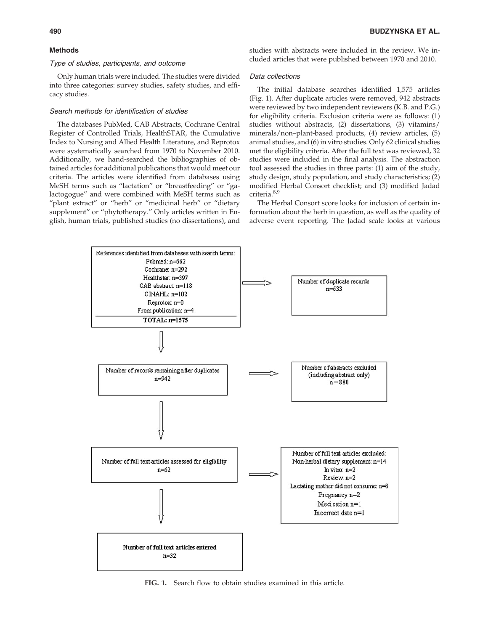## Methods

#### Type of studies, participants, and outcome

Only human trials were included. The studies were divided into three categories: survey studies, safety studies, and efficacy studies.

## Search methods for identification of studies

The databases PubMed, CAB Abstracts, Cochrane Central Register of Controlled Trials, HealthSTAR, the Cumulative Index to Nursing and Allied Health Literature, and Reprotox were systematically searched from 1970 to November 2010. Additionally, we hand-searched the bibliographies of obtained articles for additional publications that would meet our criteria. The articles were identified from databases using MeSH terms such as ''lactation'' or ''breastfeeding'' or ''galactogogue'' and were combined with MeSH terms such as "plant extract" or "herb" or "medicinal herb" or "dietary supplement" or "phytotherapy." Only articles written in English, human trials, published studies (no dissertations), and

studies with abstracts were included in the review. We included articles that were published between 1970 and 2010.

#### Data collections

The initial database searches identified 1,575 articles (Fig. 1). After duplicate articles were removed, 942 abstracts were reviewed by two independent reviewers (K.B. and P.G.) for eligibility criteria. Exclusion criteria were as follows: (1) studies without abstracts, (2) dissertations, (3) vitamins/ minerals/non–plant-based products, (4) review articles, (5) animal studies, and (6) in vitro studies. Only 62 clinical studies met the eligibility criteria. After the full text was reviewed, 32 studies were included in the final analysis. The abstraction tool assessed the studies in three parts: (1) aim of the study, study design, study population, and study characteristics; (2) modified Herbal Consort checklist; and (3) modified Jadad criteria.8,9

The Herbal Consort score looks for inclusion of certain information about the herb in question, as well as the quality of adverse event reporting. The Jadad scale looks at various



FIG. 1. Search flow to obtain studies examined in this article.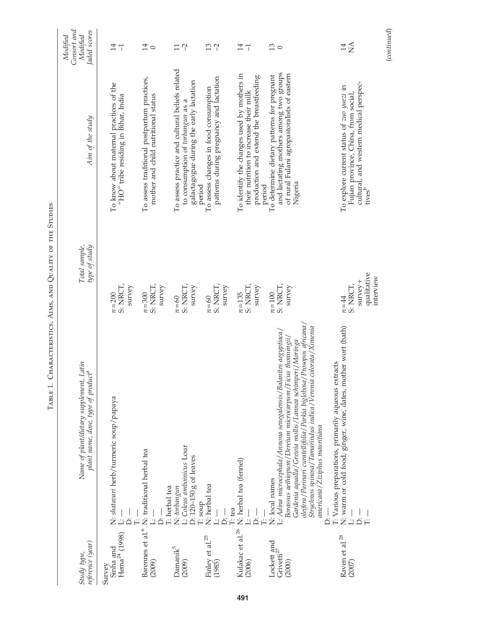| reference (year)<br>Study type,                  | Name of plant/dietary supplement, Latin<br>plant name, dose, type of product <sup>a</sup>                                                                                                                                                                                                                                                                                                | Total sample,<br>type of study                                | Aim of the study                                                                                                                                         | Consort and<br>Jaded scores<br>Modified<br>Modified |
|--------------------------------------------------|------------------------------------------------------------------------------------------------------------------------------------------------------------------------------------------------------------------------------------------------------------------------------------------------------------------------------------------------------------------------------------------|---------------------------------------------------------------|----------------------------------------------------------------------------------------------------------------------------------------------------------|-----------------------------------------------------|
| Sinha and<br>Hema <sup>24</sup> (1998)<br>Survey | N: <i>shatavari</i> herb/turmeric soup/papaya<br>L: —                                                                                                                                                                                                                                                                                                                                    | S: NRCT,<br>survey<br>$n = 200$                               | To know about maternal practices of the<br>"HO" tribe residing in $Bihar$ , India                                                                        | 14<br>$\overline{1}$                                |
| Barennes et al. $\!^6$<br>(2009)                 | N: traditional herbal tea                                                                                                                                                                                                                                                                                                                                                                | S: NRCT,<br>survey<br>$n = 300$                               | To assess traditional postpartum practices,<br>mother and child nutritional status                                                                       | 14<br>$\circ$                                       |
| Damanik <sup>5</sup><br>(2009)                   | L: Coleus amboinicus Lour<br>D: 120-150 g of leaves<br>I: herbal tea<br>N: torbangun                                                                                                                                                                                                                                                                                                     | S: NRCT,<br>survey<br>$n = 60$                                | To assess practice and cultural beliefs related<br>galactagogue during the early lactation<br>to consumption of torbangun as a                           | $\gamma$<br>$\Box$                                  |
| Finley et al. <sup>25</sup><br>(1985)            | N: herbal tea<br>$T: \mathsf{soup}$<br>Ä<br>نا                                                                                                                                                                                                                                                                                                                                           | S: NRCT,<br>survey<br>$n=60$                                  | patterns during pregnancy and lactation<br>To assess changes in food consumption<br>period                                                               | $13 - 2$                                            |
| Kulakac et al. <sup>26</sup><br>(2006)           | N: herbal tea (fennel)<br>T: tea<br>ا<br>نہ                                                                                                                                                                                                                                                                                                                                              | S: NRCT,<br>survey<br>$n = 135$                               | To identify the changes used by mothers in<br>production and extend the breastfeeding<br>their nutrition to increase their milk                          | 14<br>$\overline{1}$                                |
| Lockett and<br>Grivetti $^{27}$<br>(2000)        | oleifera / Parinari curatellifolia / Parkia biglobosa / Prosopos africana /<br>Strychnos spinosa/Tamarindus indica/Veronia colorata/Ximenia<br>L: Adina microcephala/Annona senegalensis/Balanites aegyptiaca/<br>Borassus aethiopum/Dereium microcarpum/Ficus thonningii/<br>Gardenia aqualla/Grewia mollis/Lannea schimperi/Moringa<br>americana/Ziziphus mauritiana<br>N: local names | S: NRCT,<br>survey<br>$n=100$                                 | and lactating mothers among two groups<br>of rural Fulani agropastoralists of eastern<br>To determine dietary patterns for pregnant<br>Nigeria<br>period | 13<br>$\circ$                                       |
| Raven et al. $^{28}$<br>(2007)                   | N: warm or cold food, ginger, wine, dates, mother wort (bath)<br>T: Various preparations, primarily aqueous extracts<br>$\frac{1}{\Box}$<br>$\dot{\square}$<br>Ė                                                                                                                                                                                                                         | qualitative<br>interview<br>$s$ urvey +<br>S: NRCT,<br>$n=44$ | cultural, and western medical perspectives<br>To explore current status of zuo yuezi in<br>Fujian province, China, from social,                          | $\sum$<br>14                                        |
|                                                  |                                                                                                                                                                                                                                                                                                                                                                                          |                                                               |                                                                                                                                                          | (continued)                                         |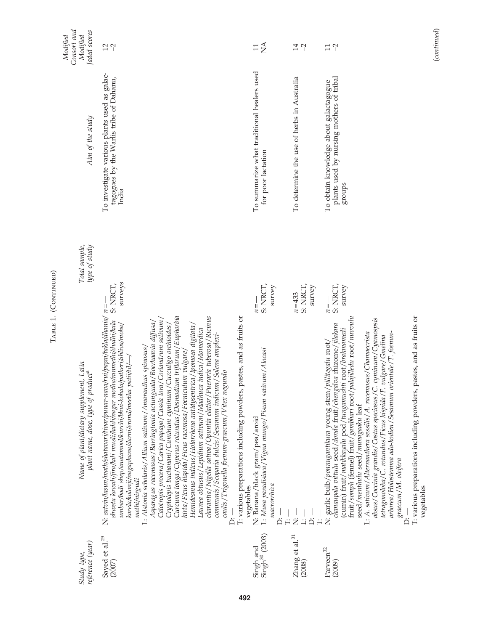|                                                 | ТАВLЕ 1.                                                                                                                                                                                                                                                                                                                                                                                                                                                                                                                                                                                                                                                                                                                                                                                                                                                                                                                                                                                                                                                  | (CONTINUED)                     |                                                                                                  |                                                     |
|-------------------------------------------------|-----------------------------------------------------------------------------------------------------------------------------------------------------------------------------------------------------------------------------------------------------------------------------------------------------------------------------------------------------------------------------------------------------------------------------------------------------------------------------------------------------------------------------------------------------------------------------------------------------------------------------------------------------------------------------------------------------------------------------------------------------------------------------------------------------------------------------------------------------------------------------------------------------------------------------------------------------------------------------------------------------------------------------------------------------------|---------------------------------|--------------------------------------------------------------------------------------------------|-----------------------------------------------------|
| reference (year)<br>Study type,                 | Name of plant/dietary supplement, Latin<br>plant name, dose, type of product <sup>a</sup>                                                                                                                                                                                                                                                                                                                                                                                                                                                                                                                                                                                                                                                                                                                                                                                                                                                                                                                                                                 | Total sample,<br>type of study  | Aim of the study                                                                                 | Consort and<br>laded scores<br>Modified<br>Modified |
| Sayed et al. <sup>29</sup><br>(2007)            | N: satvin/lasun/math/shatavari/tivar/punar-nava/rui/papai/takla/dhania/<br>Curcuma longa/Cyperus rotundus/Desmodium triflorum/Euphorbia<br>charantia/Nigella sativa/Opuntia elatior/Pueraria tuberosa/Ricinus<br>Calotropis procera / Carica papaya / Cassia tora / Coriandrum sativum /<br>shweta kawali/jira/kali musli/halal/nagar motha/ranmethi/dudhi/kala<br>Asparagus racemosus/Barringtonia actunguala/Boerhaavia diffusa/<br>umbar/badi shep/anatamool/kurchi/bhui-kohala/patheri/ahliva/moha/<br>Hemidesmus indicus/Holarrhena antidysentrica/Ipomoea digitata/<br>Curculigo orchioides<br>Launea obtusus/Lepidium sativum/Madhuca indica/Momordica<br>communis / Scoparia dulcis / Sesamum indicum / Solena amplexi-<br>L: Alstonia scholaris/ Allium sativum/ Amaranthus spinosus/<br>hirta/Ficus hispida/Ficus racemosa/Foeniculum vulgare/<br>path / til<br>caulis/Trigonella foenum-graecum/Vitex negundo<br>Cryptolepis buchanani/Cuminum cyminum/<br>karela/kalonji/nagaphana/darni/erand/meetha<br>methi/nirgudi<br>$\overline{\Delta}$ | surveys<br>S: NRCT,<br>$n =$    | To investigate various plants used as galac-<br>tagogues by the Warlis tribe of Dahanu,<br>India | $12 - 2$                                            |
| $\frac{\text{Singh}}{\text{Singh}^{30}}$ (2003) | pastes, and as fruits or<br>L: Musa paradisiaca/Vigna mungo/Pisum sativum/Alocasi<br>T: various preparations including powders,<br>N: Banana/black gram/pea/aroid<br>macrorrhiza<br>vegetables<br>Ä                                                                                                                                                                                                                                                                                                                                                                                                                                                                                                                                                                                                                                                                                                                                                                                                                                                       | S: NRCT,<br>survey<br>$n =$     | To summarize what traditional healers used<br>for poor lactation                                 | $\sum_{i=1}^{n}$<br>$\Box$                          |
| Zhang et al. $^{31}$<br>(2008)                  | Ż<br>ö                                                                                                                                                                                                                                                                                                                                                                                                                                                                                                                                                                                                                                                                                                                                                                                                                                                                                                                                                                                                                                                    | S: NRCT,<br>survey<br>$n = 433$ | To determine the use of herbs in Australia                                                       | $14\,$<br>$\gamma$                                  |
| Parveen <sup>32</sup><br>(2009)                 | pastes, and as fruits or<br>fruit/somph (fennel) fruit/gambhari root/palajilledu root/nuvvulu<br>cyminum/Cyamospsis<br>chanaupala vittulu seed/donda fruit/chengalva rhizome/jilakara<br>(cumin) fruit/matikkayalu pod/tungamushti root/brahmamedi<br>L: A. sativum/Alternanthera sessilis/A. racemosus/Chamaecrista<br>arborea/Holostemma ada-kodien/Sesamum orientale/T. foenun-<br>vulgare/Gmelina<br>N: garlic bulb/ponnugantikura young stem/pillitegalu root/<br>absus/Coccinia grandis/Costus speciosus/C.<br>tetragonoloba/C. rotundus/Ficus hispida/F.<br>T: various preparations including powders,<br>seed/menthulu seed/munagaaku leaf<br>graecum/M. oleifera<br>vegetables<br>                                                                                                                                                                                                                                                                                                                                                               | S: NRCT,<br>survey<br>$n = -$   | plants used by nursing mothers of tribal<br>To obtain knowledge about galactagogue<br>stronps    | $\overline{11}$                                     |

(continued)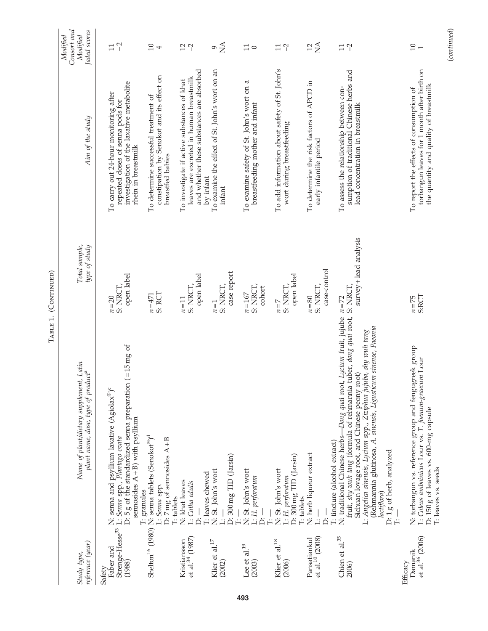| reference (year)<br>Study type,                    | Name of plant/dietary supplement, Latin<br>plant name, dose, type of product <sup>a</sup>                                                                                                                                                                                                                                                                                                                            | type of study<br>Total sample,     | Aim of the study                                                                                                                             | Consort and<br>Jaded scores<br>Modified<br>Modified |
|----------------------------------------------------|----------------------------------------------------------------------------------------------------------------------------------------------------------------------------------------------------------------------------------------------------------------------------------------------------------------------------------------------------------------------------------------------------------------------|------------------------------------|----------------------------------------------------------------------------------------------------------------------------------------------|-----------------------------------------------------|
| Faber and<br>(1988)<br>Safety                      | D: 5 g of the standardized senna preparation $($ = 15 mg of<br>N: senna and psyllium laxative (Agiolax®) <sup>c</sup><br>semosides $A + B$ ) with psyllium<br>Strenge-Hesse <sup>33</sup> L: Senna spp., Plantago ovata                                                                                                                                                                                              | open label<br>S: NRCT<br>$n = 20$  | investigation of the laxative metabolite<br>To carry out 24-hour monitoring after<br>repeated doses of senna pods for<br>rhein in breastmilk | $\overline{C}$<br>$\Box$                            |
|                                                    | Shelton <sup>16</sup> (1980) N: senna tablets (Senokot®) <sup>d</sup><br>D: 7 mg of sennosides $A + B$<br>L: Senna spp.<br>T: granules                                                                                                                                                                                                                                                                               | S: RCT<br>$n = 471$                | constipation by Senokot and its effect on<br>To determine successful treatment of<br>breastfed babies                                        | $\Box$<br>4                                         |
| et al. <sup>34</sup> (1987)<br>Kristiansson        | N: khat leaves<br>L: Catha edulis<br>T: tablets<br>ڟ                                                                                                                                                                                                                                                                                                                                                                 | open label<br>S: NRCT,<br>$n=11$   | and whether these substances are absorbed<br>leaves are excreted in human breastmilk<br>To investigate if active substances of khat          | $12 - 7$                                            |
| Klier et al. $^{17}$<br>(2002)                     | D: 300 mg TID (Jarsin)<br>N: St. John's wort<br>I: leaves chewed<br>ڑ'_                                                                                                                                                                                                                                                                                                                                              | case report<br>S: NRCT,<br>$n=1$   | To examine the effect of St. John's wort on an<br>by infant<br>infant                                                                        | $\circ \frac{1}{2}$                                 |
| Lee et al. $^{19}$<br>(2003)                       | N: St. John's wort<br>L: H. perforatum<br>ڟ                                                                                                                                                                                                                                                                                                                                                                          | S: NRCT,<br>cohort<br>$n = 167$    | To examine safety of St. John's wort on a<br>breastfeeding mother and infant                                                                 | $\Box$<br>$\circ$                                   |
| Klier et al. $^{18}$<br>(2006)                     | D: 300 mg TID (Jarsin)<br>N: St. John's wort<br>L: H. perforatum                                                                                                                                                                                                                                                                                                                                                     | open label<br>S: NRCT.<br>$n = 7$  | To add information about safety of St. John's<br>wort during breastfeeding                                                                   | $\gamma$<br>$\Box$                                  |
| et al. $^{10}$ (2008)<br>Pansatiankul              | N: herb liqueur extract<br>T: tablets<br>$\mathbb{E}$<br>Ä                                                                                                                                                                                                                                                                                                                                                           | case-control<br>S: NRCT,<br>$n=80$ | To determine the risk factors of APCD in<br>early infantile period                                                                           | $\lessapprox$<br>12                                 |
| Chien et al. <sup>35</sup><br>2006)                | fruit, shy wuh tang (formula of rehmannia tuber, dong quai root, S: NRCT,<br>N: traditional Chinese herbs-Dong quai root, Lycium fruit, jujube n=72<br>(Rehmannia glutinosa, A. sinensis, Ligusticum sinense, Paeonia<br>L: Angelica sinensis, Lycium spp., Ziziphua jujuba, shy wuh tang<br>Sichuan lovage root, and Chinese peony root)<br>I: tincture (alcohol extract)<br>D: 1g of herb, analyzed<br>lactiflora) | survey+lead analysis               | sumption of traditional Chinese herbs and<br>To assess the relationship between con-<br>lead concentration in breastmilk                     | $\tilde{c}$<br>$\Box$                               |
| Damanik<br>et al. <sup>36</sup> (2006)<br>Efficacy | N: torbangun vs. reference group and fengugreek group<br>L: Coleus amboinicus Lour vs. T. foenum-graecum Lour<br>D: 150 g of leaves vs. 600-mg capsule<br>T: leaves vs. seeds                                                                                                                                                                                                                                        | <b>S:RCT</b><br>$n = 75$           | torbangun leaves for 1 month after birth on<br>the quantity and quality of breastmilk<br>To report the effects of consumption of             | $\Box$<br>$\overline{ }$                            |
|                                                    |                                                                                                                                                                                                                                                                                                                                                                                                                      |                                    |                                                                                                                                              | (continued)                                         |

TABLE 1. (CONTINUED) Table 1. (Continued)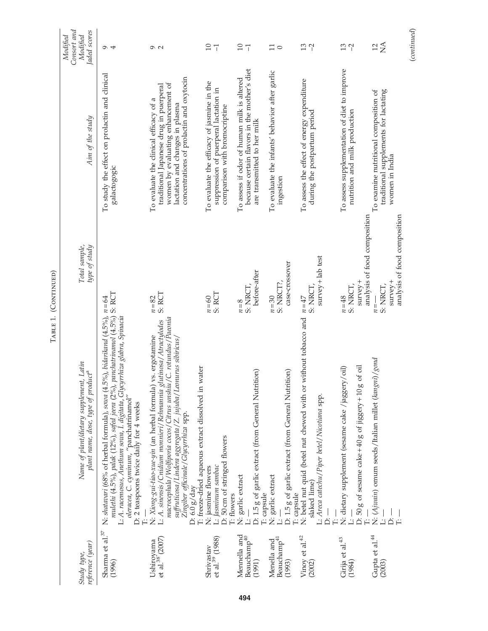|                                            |                                                                                                                                                                                                                                                                                                                                                                                                            | IABLE 1. (CONTINUED)                                                                               |                                                                                                                                                                                                       |                                                     |
|--------------------------------------------|------------------------------------------------------------------------------------------------------------------------------------------------------------------------------------------------------------------------------------------------------------------------------------------------------------------------------------------------------------------------------------------------------------|----------------------------------------------------------------------------------------------------|-------------------------------------------------------------------------------------------------------------------------------------------------------------------------------------------------------|-----------------------------------------------------|
| reference (year)<br>Study type,            | Name of plant/dietary supplement, Latin<br>plant name, dose, type of product <sup>s</sup>                                                                                                                                                                                                                                                                                                                  | Total sample,<br>type of study                                                                     | Aim of the study                                                                                                                                                                                      | Consort and<br>Jaded scores<br>Modified<br>Modified |
| Sharma et al. <sup>37</sup><br>(1996)      | mulethi (4.5%), palak (12%), safed jeera (2%), panchatrinamol (4.5%) S. RCT<br>N: shatavari (68% of herbal formula), sowa (4.5%), bidarikand (4.5%), $n=64$<br>L: A. racemosus, Anethum sowa, I. digitata, Glycyrrhiza glabra, Spinacia<br>oleracea, C. cyminum, "panchatrinamol"<br>D: 2 teaspoons twice daily for 4 weeks                                                                                |                                                                                                    | To study the effect on prolactin and clinical<br>galactogogic                                                                                                                                         | $\sigma$ 4                                          |
| et al. $^{38'}$ (2007)<br>Ushiroyama       | C. rotundus / Paeonia<br>L: A. sinensis/Cnidium monnieri/Rehmannia glutinosa/Atractylodes<br>macrocephala/Wolfiporia cocos/Citrus unshiu/C. rotundus/Paeonii<br>N: Xiong-gui-tiao-xue-yin (an herbal formula) vs. ergotamine<br>suffruticosa/Lindera aggregata/Z. jujuba/Leonurus sibiricus/<br>T: freeze-dried aqueous extract dissolved in water<br>Zingiber officinale/Glycyrrhiza spp.<br>D: 6.0 g/day | S: RCT<br>$n = 82$                                                                                 | concentrations of prolactin and oxytocin<br>women by evaluating enhancement of<br>traditional Japanese drug in puerperal<br>To evaluate the clinical efficacy of a<br>lactation and changes in plasma | $\sigma$ $\sim$                                     |
| et al. <sup>39</sup> (1988)<br>Shrivastav  | D: 50 cm of stringed flowers<br>L: Jasminum sambac<br>N: jasmine flowers<br>T: flowers                                                                                                                                                                                                                                                                                                                     | S: RCT<br>$n=60$                                                                                   | To evaluate the efficacy of jasmine in the<br>suppression of puerperal lactation in<br>comparison with bromocriptine                                                                                  | $\overline{10}$<br>$\overline{1}$                   |
| Mennella and<br>Beauchamp $40$<br>(1991)   | D: 1.5 g of garlic extract (from General Nutrition)<br>N: garlic extract                                                                                                                                                                                                                                                                                                                                   | before-after<br>S: NRCT,<br>$n=8$                                                                  | because certain flavors in the mother's diet<br>To assess if odor of human milk is altered<br>are transmitted to her milk                                                                             | $10 - 1$                                            |
| Beauchamp $^{41}$<br>Menella and<br>(1993) | D: 1.5 g of garlic extract (from General Nutrition)<br>N: garlic extract<br>T: capsule<br>T: capsule                                                                                                                                                                                                                                                                                                       | case-crossover<br>S: NRCT?,<br>$n=30$                                                              | To evaluate the infants' behavior after garlic<br>ingestion                                                                                                                                           | $\Box$<br>$\circ$                                   |
| Vinoy et al. <sup>42</sup><br>(2002)       | N: betel nut quid (betel nut chewed with or without tobacco and<br>L: Areca catechu/Piper betel/Nicotiana spp.<br>slaked lime)<br>$\dot{\square}$                                                                                                                                                                                                                                                          | $survey + lab test$<br>S: NRCT,<br>$n=47$                                                          | To assess the effect of energy expenditure<br>during the postpartum period                                                                                                                            | 13<br>$\gamma$                                      |
| Girija et al.<br>$\!43}$<br>(1984)         | D: 50 g of sesame cake +40 g of jiggery +10 g of oil<br>N: dietary supplement (sesame cake /jaggery/oil)<br>ا<br>ت                                                                                                                                                                                                                                                                                         | $s$ urvey +<br>S: NRCT,<br>$n = 48$                                                                | To assess supplementation of diet to improve<br>nutrition and milk production                                                                                                                         | 13<br>$\Gamma$                                      |
| Gupta et al. <sup>44</sup><br>(2003)       | N: (Ajwain) omum seeds/Italian millet (kangni)/gond<br>ة<br>نذ                                                                                                                                                                                                                                                                                                                                             | analysis of food composition<br>analysis of food composition<br>$s$ urvey +<br>S: NRCT,<br>$n = -$ | traditional supplements for lactating<br>To examine nutritional composition of<br>women in India                                                                                                      | $\lessapprox$<br>$\overline{12}$                    |
|                                            |                                                                                                                                                                                                                                                                                                                                                                                                            |                                                                                                    |                                                                                                                                                                                                       | (continued)                                         |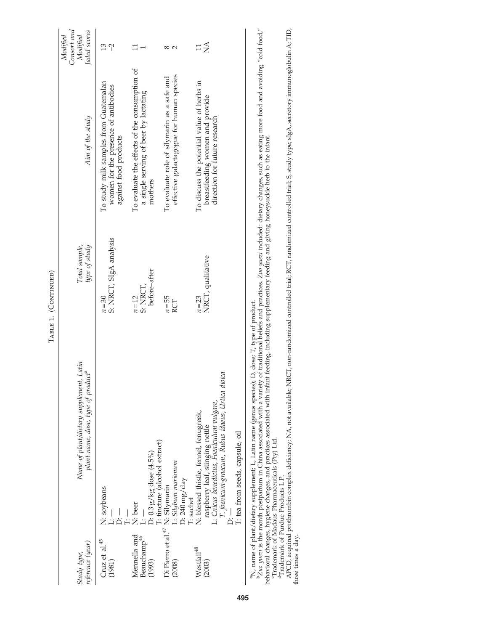| reference (year)<br>Study type,                   | Name of plant/dietary supplement, Latin<br>plant name, dose, type of product <sup>a</sup>                                                                                                                                                                                                                  | type of study<br>Total sample,       | Aim of the study                                                                                               | Consort and<br>Jaded scores<br>Modified<br>Modified |
|---------------------------------------------------|------------------------------------------------------------------------------------------------------------------------------------------------------------------------------------------------------------------------------------------------------------------------------------------------------------|--------------------------------------|----------------------------------------------------------------------------------------------------------------|-----------------------------------------------------|
| Cruz et al.<br>$^{45}$<br>(1981)                  | N: soybeans<br>$\dot{\triangle}$                                                                                                                                                                                                                                                                           | S: NRCT, SIgA analysis<br>$n=30$     | To study milk samples from Guatemalan<br>women for the presence of antibodies<br>against food products         | 13<br>$\gamma$                                      |
| Mennella and<br>Beauchamp <sup>46</sup><br>(1993) | T: tincture (alcohol extract)<br>$D: 0.3 g/kg$ dose $(4.5\%)$<br>N: beer                                                                                                                                                                                                                                   | before-after<br>S: NRCT,<br>$n = 12$ | To evaluate the effects of the consumption of<br>a single serving of beer by lactating<br>mothers              | $\Box$                                              |
|                                                   | Di Pierro et al.<br>$^{47}$ N: Silybum marianum (2008)<br>D: 240 mg/day                                                                                                                                                                                                                                    | $n = 55$<br>RCT                      | effective galactagogue for human species<br>To evaluate role of silymarin as a safe and                        | ∞<br>$\sim$                                         |
| Westfall <sup>48</sup><br>(2003)                  | T. foenicum-graecum, Rubus idaeus, Urtica dioica<br>L: Cnicus benedictus, Foeniculum vulgare,<br>N: blessed thistle, fennel, fenugreek,<br>raspberry leaf, stinging nettle<br>T: tea from seeds, capsule, oil<br>T: sachet                                                                                 | NRCT, qualitative<br>$n=23$          | To discuss the potential value of herbs in<br>breastfeeding women and provide<br>direction for future research | $\sum_{i=1}^{n}$                                    |
|                                                   | PZ110 yuezi is the month postpartum in China associated with a variety of traditional beliefs and practices. Z110 yuezi included: dietary changes, such as eating more food and avoiding "cold food,"<br>"N, name of plant/dietary supplement; L, Latin name (genus species); D, dose; T, type of product. |                                      |                                                                                                                |                                                     |

behavioral changes, hygiene changes, and practices associated with infant feeding, including supplementary feeding and giving honeysuckle herb to the infant.<br><sup>c</sup>Trademark of Madaus Pharmaceuticals (Pty) Ltd.

dTrademark of Purdue Products L.P.

behavioral changes, hygiene changes, and practices associated with infant feeding, including supplementary feeding and giving honeysuckle herb to the infant.<br><sup>c</sup>Trademark of Madaus Pharmaceuticals (Pty) Ltd.<br>APCD, acquired APCD, acquired prothrombin complex deficiency; NA, not available; NRCT, non-randomized controlled trial; RCT, randomized controlled trial; S, study type; sIgA, secretory immunoglobulin A; TID, three times a day.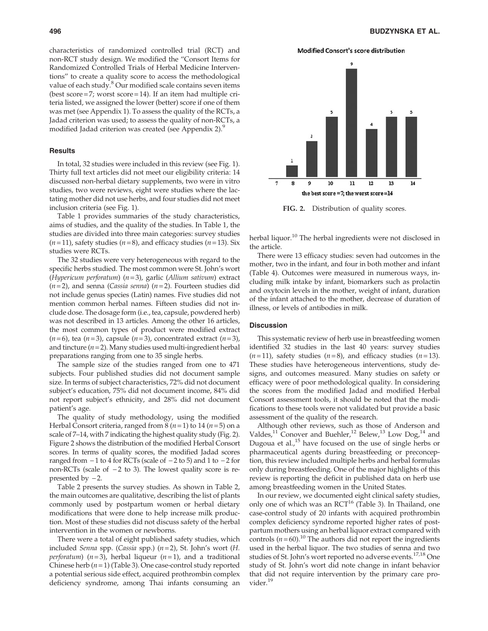characteristics of randomized controlled trial (RCT) and non-RCT study design. We modified the ''Consort Items for Randomized Controlled Trials of Herbal Medicine Interventions'' to create a quality score to access the methodological value of each study.<sup>8</sup> Our modified scale contains seven items (best score  $= 7$ ; worst score  $= 14$ ). If an item had multiple criteria listed, we assigned the lower (better) score if one of them was met (see Appendix 1). To assess the quality of the RCTs, a Jadad criterion was used; to assess the quality of non-RCTs, a modified Jadad criterion was created (see Appendix 2).<sup>9</sup>

#### **Results**

In total, 32 studies were included in this review (see Fig. 1). Thirty full text articles did not meet our eligibility criteria: 14 discussed non-herbal dietary supplements, two were in vitro studies, two were reviews, eight were studies where the lactating mother did not use herbs, and four studies did not meet inclusion criteria (see Fig. 1).

Table 1 provides summaries of the study characteristics, aims of studies, and the quality of the studies. In Table 1, the studies are divided into three main categories: survey studies  $(n=11)$ , safety studies  $(n=8)$ , and efficacy studies  $(n=13)$ . Six studies were RCTs.

The 32 studies were very heterogeneous with regard to the specific herbs studied. The most common were St. John's wort (Hypericum perforatum)  $(n=3)$ , garlic (Allium sativum) extract  $(n=2)$ , and senna (Cassia senna)  $(n=2)$ . Fourteen studies did not include genus species (Latin) names. Five studies did not mention common herbal names. Fifteen studies did not include dose. The dosage form (i.e., tea, capsule, powdered herb) was not described in 13 articles. Among the other 16 articles, the most common types of product were modified extract  $(n=6)$ , tea  $(n=3)$ , capsule  $(n=3)$ , concentrated extract  $(n=3)$ , and tincture  $(n=2)$ . Many studies used multi-ingredient herbal preparations ranging from one to 35 single herbs.

The sample size of the studies ranged from one to 471 subjects. Four published studies did not document sample size. In terms of subject characteristics, 72% did not document subject's education, 75% did not document income, 84% did not report subject's ethnicity, and 28% did not document patient's age.

The quality of study methodology, using the modified Herbal Consort criteria, ranged from  $8(n=1)$  to  $14(n=5)$  on a scale of 7–14, with 7 indicating the highest quality study (Fig. 2). Figure 2 shows the distribution of the modified Herbal Consort scores. In terms of quality scores, the modified Jadad scores ranged from  $-1$  to 4 for RCTs (scale of  $-2$  to 5) and 1 to  $-2$  for non-RCTs (scale of  $-2$  to 3). The lowest quality score is represented by  $-2$ .

Table 2 presents the survey studies. As shown in Table 2, the main outcomes are qualitative, describing the list of plants commonly used by postpartum women or herbal dietary modifications that were done to help increase milk production. Most of these studies did not discuss safety of the herbal intervention in the women or newborns.

There were a total of eight published safety studies, which included Senna spp. (Cassia spp.)  $(n=2)$ , St. John's wort  $(H.$ *perforatum*) ( $n=3$ ), herbal liqueur ( $n=1$ ), and a traditional Chinese herb  $(n=1)$  (Table 3). One case-control study reported a potential serious side effect, acquired prothrombin complex deficiency syndrome, among Thai infants consuming an **Modified Consort's score distribution** 



FIG. 2. Distribution of quality scores.

herbal liquor.<sup>10</sup> The herbal ingredients were not disclosed in the article.

There were 13 efficacy studies: seven had outcomes in the mother, two in the infant, and four in both mother and infant (Table 4). Outcomes were measured in numerous ways, including milk intake by infant, biomarkers such as prolactin and oxytocin levels in the mother, weight of infant, duration of the infant attached to the mother, decrease of duration of illness, or levels of antibodies in milk.

## **Discussion**

This systematic review of herb use in breastfeeding women identified 32 studies in the last 40 years: survey studies  $(n=11)$ , safety studies  $(n=8)$ , and efficacy studies  $(n=13)$ . These studies have heterogeneous interventions, study designs, and outcomes measured. Many studies on safety or efficacy were of poor methodological quality. In considering the scores from the modified Jadad and modified Herbal Consort assessment tools, it should be noted that the modifications to these tools were not validated but provide a basic assessment of the quality of the research.

Although other reviews, such as those of Anderson and Valdes,<sup>11</sup> Conover and Buehler,<sup>12</sup> Belew,<sup>13</sup> Low Dog,<sup>14</sup> and Dugoua et al.,<sup>15</sup> have focused on the use of single herbs or pharmaceutical agents during breastfeeding or preconception, this review included multiple herbs and herbal formulas only during breastfeeding. One of the major highlights of this review is reporting the deficit in published data on herb use among breastfeeding women in the United States.

In our review, we documented eight clinical safety studies, only one of which was an  $RCT^{16}$  (Table 3). In Thailand, one case-control study of 20 infants with acquired prothrombin complex deficiency syndrome reported higher rates of postpartum mothers using an herbal liquor extract compared with controls  $(n = 60)$ .<sup>10</sup> The authors did not report the ingredients used in the herbal liquor. The two studies of senna and two studies of St. John's wort reported no adverse events.<sup>17,18</sup> One study of St. John's wort did note change in infant behavior that did not require intervention by the primary care provider.<sup>19</sup>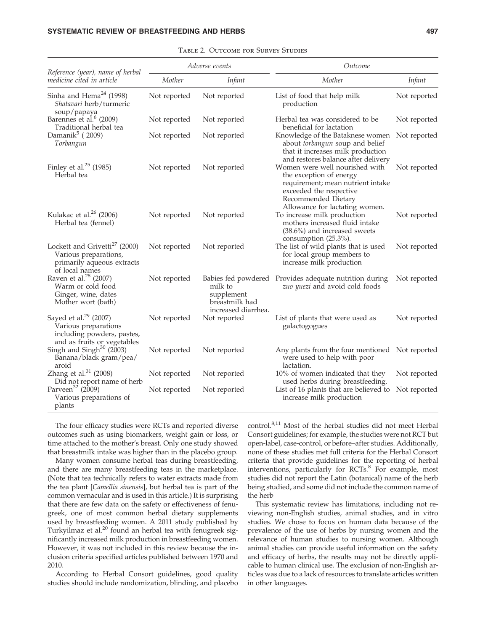|                                                                                                                        |              | Adverse events                                                 | Outcome                                                                                                                                                                            |              |
|------------------------------------------------------------------------------------------------------------------------|--------------|----------------------------------------------------------------|------------------------------------------------------------------------------------------------------------------------------------------------------------------------------------|--------------|
| Reference (year), name of herbal<br>medicine cited in article                                                          | Mother       | <i>Infant</i>                                                  | Mother                                                                                                                                                                             | Infant       |
| Sinha and Hema <sup>24</sup> (1998)<br>Shatavari herb/turmeric<br>soup/papaya                                          | Not reported | Not reported                                                   | List of food that help milk<br>production                                                                                                                                          | Not reported |
| Barennes et al. <sup>6</sup> (2009)<br>Traditional herbal tea                                                          | Not reported | Not reported                                                   | Herbal tea was considered to be<br>beneficial for lactation                                                                                                                        | Not reported |
| Damanik $5$ (2009)<br>Torbangun                                                                                        | Not reported | Not reported                                                   | Knowledge of the Bataknese women<br>about torbangun soup and belief<br>that it increases milk production<br>and restores balance after delivery                                    | Not reported |
| Finley et al. <sup>25</sup> (1985)<br>Herbal tea                                                                       | Not reported | Not reported                                                   | Women were well nourished with<br>the exception of energy<br>requirement; mean nutrient intake<br>exceeded the respective<br>Recommended Dietary<br>Allowance for lactating women. | Not reported |
| Kulakac et al. <sup>26</sup> (2006)<br>Herbal tea (fennel)                                                             | Not reported | Not reported                                                   | To increase milk production<br>mothers increased fluid intake<br>$(38.6\%)$ and increased sweets<br>consumption (25.3%).                                                           | Not reported |
| Lockett and Grivetti <sup>27</sup> (2000)<br>Various preparations,<br>primarily aqueous extracts<br>of local names     | Not reported | Not reported                                                   | The list of wild plants that is used<br>for local group members to<br>increase milk production                                                                                     | Not reported |
| Raven et al. <sup>28</sup> (2007)<br>Warm or cold food<br>Ginger, wine, dates<br>Mother wort (bath)                    | Not reported | milk to<br>supplement<br>breastmilk had<br>increased diarrhea. | Babies fed powdered Provides adequate nutrition during<br>zuo yuezi and avoid cold foods                                                                                           | Not reported |
| Sayed et al. <sup>29</sup> (2007)<br>Various preparations<br>including powders, pastes,<br>and as fruits or vegetables | Not reported | Not reported                                                   | List of plants that were used as<br>galactogogues                                                                                                                                  | Not reported |
| Singh and Singh $30$ (2003)<br>Banana/black gram/pea/<br>aroid                                                         | Not reported | Not reported                                                   | Any plants from the four mentioned Not reported<br>were used to help with poor<br>lactation.                                                                                       |              |
| Zhang et al. $31$ (2008)<br>Did not report name of herb                                                                | Not reported | Not reported                                                   | 10% of women indicated that they<br>used herbs during breastfeeding.                                                                                                               | Not reported |
| Parveen <sup>32</sup> (2009)<br>Various preparations of<br>plants                                                      | Not reported | Not reported                                                   | List of 16 plants that are believed to<br>increase milk production                                                                                                                 | Not reported |

Table 2. Outcome for Survey Studies

The four efficacy studies were RCTs and reported diverse outcomes such as using biomarkers, weight gain or loss, or time attached to the mother's breast. Only one study showed that breastmilk intake was higher than in the placebo group.

Many women consume herbal teas during breastfeeding, and there are many breastfeeding teas in the marketplace. (Note that tea technically refers to water extracts made from the tea plant [Camellia sinensis], but herbal tea is part of the common vernacular and is used in this article.) It is surprising that there are few data on the safety or effectiveness of fenugreek, one of most common herbal dietary supplements used by breastfeeding women. A 2011 study published by Turkyilmaz et al.<sup>20</sup> found an herbal tea with fenugreek significantly increased milk production in breastfeeding women. However, it was not included in this review because the inclusion criteria specified articles published between 1970 and 2010.

According to Herbal Consort guidelines, good quality studies should include randomization, blinding, and placebo control.8,11 Most of the herbal studies did not meet Herbal Consort guidelines; for example, the studies were not RCT but open-label, case-control, or before–after studies. Additionally, none of these studies met full criteria for the Herbal Consort criteria that provide guidelines for the reporting of herbal interventions, particularly for RCTs.<sup>8</sup> For example, most studies did not report the Latin (botanical) name of the herb being studied, and some did not include the common name of the herb

This systematic review has limitations, including not reviewing non-English studies, animal studies, and in vitro studies. We chose to focus on human data because of the prevalence of the use of herbs by nursing women and the relevance of human studies to nursing women. Although animal studies can provide useful information on the safety and efficacy of herbs, the results may not be directly applicable to human clinical use. The exclusion of non-English articles was due to a lack of resources to translate articles written in other languages.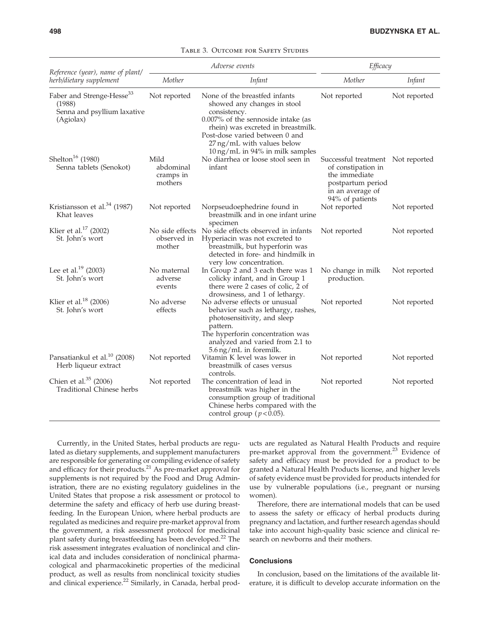|                                                                                             | Adverse events<br>Reference (year), name of plant/ |                                                                                                                                                                                                                                                                          | Efficacy                                                                                                                             |              |
|---------------------------------------------------------------------------------------------|----------------------------------------------------|--------------------------------------------------------------------------------------------------------------------------------------------------------------------------------------------------------------------------------------------------------------------------|--------------------------------------------------------------------------------------------------------------------------------------|--------------|
| herb/dietary supplement                                                                     | Mother                                             | <b>Infant</b>                                                                                                                                                                                                                                                            | Mother                                                                                                                               | Infant       |
| Faber and Strenge-Hesse <sup>33</sup><br>(1988)<br>Senna and psyllium laxative<br>(Agiolax) | Not reported                                       | None of the breastfed infants<br>showed any changes in stool<br>consistency.<br>0.007% of the sennoside intake (as<br>rhein) was excreted in breastmilk.<br>Post-dose varied between 0 and<br>27 ng/mL with values below<br>$10 \,\mathrm{ng/mL}$ in 94% in milk samples | Not reported                                                                                                                         | Not reported |
| Shelton <sup>16</sup> (1980)<br>Senna tablets (Senokot)                                     | Mild<br>abdominal<br>cramps in<br>mothers          | No diarrhea or loose stool seen in<br>infant                                                                                                                                                                                                                             | Successful treatment Not reported<br>of constipation in<br>the immediate<br>postpartum period<br>in an average of<br>94% of patients |              |
| Kristiansson et al. $34$ (1987)<br>Khat leaves                                              | Not reported                                       | Norpseudoephedrine found in<br>breastmilk and in one infant urine<br>specimen                                                                                                                                                                                            | Not reported                                                                                                                         | Not reported |
| Klier et al. <sup>17</sup> (2002)<br>St. John's wort                                        | observed in<br>mother                              | No side effects No side effects observed in infants<br>Hyperiacin was not excreted to<br>breastmilk, but hyperforin was<br>detected in fore- and hindmilk in<br>very low concentration.                                                                                  | Not reported                                                                                                                         | Not reported |
| Lee et al. <sup>19</sup> (2003)<br>St. John's wort                                          | No maternal<br>adverse<br>events                   | In Group 2 and 3 each there was 1<br>colicky infant, and in Group 1<br>there were 2 cases of colic, 2 of<br>drowsiness, and 1 of lethargy.                                                                                                                               | No change in milk<br>production.                                                                                                     | Not reported |
| Klier et al. <sup>18</sup> (2006)<br>St. John's wort                                        | No adverse<br>effects                              | No adverse effects or unusual<br>behavior such as lethargy, rashes,<br>photosensitivity, and sleep<br>pattern.<br>The hyperforin concentration was<br>analyzed and varied from 2.1 to<br>5.6 ng/mL in foremilk.                                                          | Not reported                                                                                                                         | Not reported |
| Pansatiankul et al. <sup>10</sup> (2008)<br>Herb liqueur extract                            | Not reported                                       | Vitamin K level was lower in<br>breastmilk of cases versus<br>controls.                                                                                                                                                                                                  | Not reported                                                                                                                         | Not reported |
| Chien et al. <sup>35</sup> (2006)<br><b>Traditional Chinese herbs</b>                       | Not reported                                       | The concentration of lead in<br>breastmilk was higher in the<br>consumption group of traditional<br>Chinese herbs compared with the<br>control group ( $p < 0.05$ ).                                                                                                     | Not reported                                                                                                                         | Not reported |

Table 3. Outcome for Safety Studies

Currently, in the United States, herbal products are regulated as dietary supplements, and supplement manufacturers are responsible for generating or compiling evidence of safety and efficacy for their products.<sup>21</sup> As pre-market approval for supplements is not required by the Food and Drug Administration, there are no existing regulatory guidelines in the United States that propose a risk assessment or protocol to determine the safety and efficacy of herb use during breastfeeding. In the European Union, where herbal products are regulated as medicines and require pre-market approval from the government, a risk assessment protocol for medicinal plant safety during breastfeeding has been developed.<sup>22</sup> The risk assessment integrates evaluation of nonclinical and clinical data and includes consideration of nonclinical pharmacological and pharmacokinetic properties of the medicinal product, as well as results from nonclinical toxicity studies and clinical experience.<sup>22</sup> Similarly, in Canada, herbal products are regulated as Natural Health Products and require pre-market approval from the government.<sup>23</sup> Evidence of safety and efficacy must be provided for a product to be granted a Natural Health Products license, and higher levels of safety evidence must be provided for products intended for use by vulnerable populations (i.e., pregnant or nursing women).

Therefore, there are international models that can be used to assess the safety or efficacy of herbal products during pregnancy and lactation, and further research agendas should take into account high-quality basic science and clinical research on newborns and their mothers.

# **Conclusions**

In conclusion, based on the limitations of the available literature, it is difficult to develop accurate information on the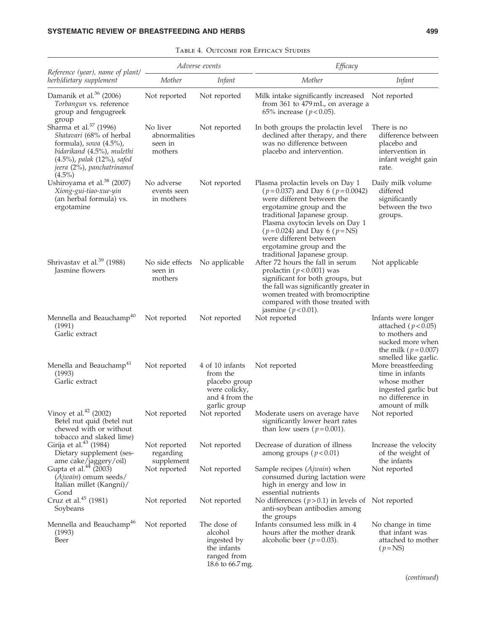| Reference (year), name of plant/ –                                                                                                                                                                  |                                                     | Adverse events                                                                                  | Efficacy                                                                                                                                                                                                                                                                                                                      |                                                                                                                                          |
|-----------------------------------------------------------------------------------------------------------------------------------------------------------------------------------------------------|-----------------------------------------------------|-------------------------------------------------------------------------------------------------|-------------------------------------------------------------------------------------------------------------------------------------------------------------------------------------------------------------------------------------------------------------------------------------------------------------------------------|------------------------------------------------------------------------------------------------------------------------------------------|
| herb/dietary supplement                                                                                                                                                                             | Mother                                              | Infant                                                                                          | Mother                                                                                                                                                                                                                                                                                                                        | Infant                                                                                                                                   |
| Damanik et al. <sup>36</sup> (2006)<br>Torbangun vs. reference<br>group and fengugreek<br>group                                                                                                     | Not reported                                        | Not reported                                                                                    | Milk intake significantly increased Not reported<br>from 361 to 479 mL, on average a<br>65% increase ( $p < 0.05$ ).                                                                                                                                                                                                          |                                                                                                                                          |
| Sharma et al. <sup>37</sup> (1996)<br>Shatavari (68% of herbal<br>formula), sowa $(4.5\%)$ ,<br>bidarikand (4.5%), mulethi<br>(4.5%), palak (12%), safed<br>jeera (2%), panchatrinamol<br>$(4.5\%)$ | No liver<br>abnormalities<br>seen in<br>mothers     | Not reported                                                                                    | In both groups the prolactin level<br>declined after therapy, and there<br>was no difference between<br>placebo and intervention.                                                                                                                                                                                             | There is no<br>difference between<br>placebo and<br>intervention in<br>infant weight gain<br>rate.                                       |
| Ushiroyama et al. <sup>38</sup> (2007)<br>Xiong-gui-tiao-xue-yin<br>(an herbal formula) vs.<br>ergotamine                                                                                           | No adverse<br>events seen<br>in mothers             | Not reported                                                                                    | Plasma prolactin levels on Day 1<br>$(p=0.037)$ and Day 6 ( $p=0.0042$ )<br>were different between the<br>ergotamine group and the<br>traditional Japanese group.<br>Plasma oxytocin levels on Day 1<br>$(p=0.024)$ and Day 6 ( $p=$ NS)<br>were different between<br>ergotamine group and the<br>traditional Japanese group. | Daily milk volume<br>differed<br>significantly<br>between the two<br>groups.                                                             |
| Shrivastav et al. <sup>39</sup> (1988)<br>Jasmine flowers                                                                                                                                           | No side effects No applicable<br>seen in<br>mothers |                                                                                                 | After 72 hours the fall in serum<br>prolactin ( $p < 0.001$ ) was<br>significant for both groups, but<br>the fall was significantly greater in<br>women treated with bromocriptine<br>compared with those treated with<br>jasmine ( $p < 0.01$ ).                                                                             | Not applicable                                                                                                                           |
| Mennella and Beauchamp <sup>40</sup><br>(1991)<br>Garlic extract                                                                                                                                    | Not reported                                        | Not reported                                                                                    | Not reported                                                                                                                                                                                                                                                                                                                  | Infants were longer<br>attached ( $p < 0.05$ )<br>to mothers and<br>sucked more when<br>the milk ( $p = 0.007$ )<br>smelled like garlic. |
| Menella and Beauchamp <sup>41</sup><br>(1993)<br>Garlic extract                                                                                                                                     | Not reported                                        | 4 of 10 infants<br>from the<br>placebo group<br>were colicky,<br>and 4 from the<br>garlic group | Not reported                                                                                                                                                                                                                                                                                                                  | More breastfeeding<br>time in infants<br>whose mother<br>ingested garlic but<br>no difference in<br>amount of milk                       |
| Vinoy et al. $42$ (2002)<br>Betel nut quid (betel nut<br>chewed with or without<br>tobacco and slaked lime)                                                                                         | Not reported                                        | Not reported                                                                                    | Moderate users on average have<br>significantly lower heart rates<br>than low users ( $p = 0.001$ ).                                                                                                                                                                                                                          | Not reported                                                                                                                             |
| Girija et al. <sup>43</sup> (1984)<br>Dietary supplement (ses-<br>ame cake/jaggery/oil)                                                                                                             | Not reported<br>regarding<br>supplement             | Not reported                                                                                    | Decrease of duration of illness<br>among groups ( $p < 0.01$ )                                                                                                                                                                                                                                                                | Increase the velocity<br>of the weight of<br>the infants                                                                                 |
| Gupta et al. <sup>44</sup> (2003)<br>(Ajwain) omum seeds/<br>Italian millet (Kangni)/<br>Gond                                                                                                       | Not reported                                        | Not reported                                                                                    | Sample recipes (Ajwain) when<br>consumed during lactation were<br>high in energy and low in<br>essential nutrients                                                                                                                                                                                                            | Not reported                                                                                                                             |
| Cruz et al. <sup>45</sup> (1981)<br>Soybeans                                                                                                                                                        | Not reported                                        | Not reported                                                                                    | No differences $(p>0.1)$ in levels of Not reported<br>anti-soybean antibodies among<br>the groups                                                                                                                                                                                                                             |                                                                                                                                          |
| Mennella and Beauchamp <sup>46</sup><br>(1993)<br>Beer                                                                                                                                              | Not reported                                        | The dose of<br>alcohol<br>ingested by<br>the infants<br>ranged from<br>18.6 to 66.7 mg.         | Infants consumed less milk in 4<br>hours after the mother drank<br>alcoholic beer ( $p = 0.03$ ).                                                                                                                                                                                                                             | No change in time<br>that infant was<br>attached to mother<br>$(p=NS)$                                                                   |

(continued)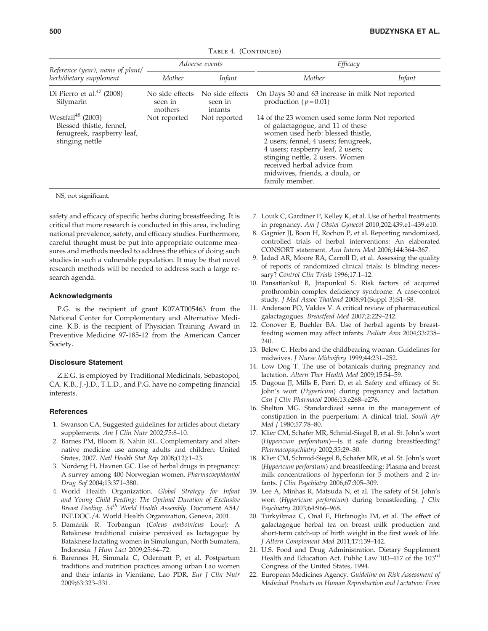|  | TABLE 4. (CONTINUED) |
|--|----------------------|
|--|----------------------|

| Reference (year), name of plant/                                                                           |                                       | Adverse events                        | Efficacy                                                                                                                                                                                                                                                                                                                   |               |
|------------------------------------------------------------------------------------------------------------|---------------------------------------|---------------------------------------|----------------------------------------------------------------------------------------------------------------------------------------------------------------------------------------------------------------------------------------------------------------------------------------------------------------------------|---------------|
| herb/dietary supplement                                                                                    | Mother                                | Infant                                | Mother                                                                                                                                                                                                                                                                                                                     | <i>Infant</i> |
| Di Pierro et al. $47$ (2008)<br>Silymarin                                                                  | No side effects<br>seen in<br>mothers | No side effects<br>seen in<br>infants | On Days 30 and 63 increase in milk Not reported<br>production ( $p=0.01$ )                                                                                                                                                                                                                                                 |               |
| Westfall <sup>48</sup> (2003)<br>Blessed thistle, fennel,<br>fenugreek, raspberry leaf,<br>stinging nettle | Not reported                          | Not reported                          | 14 of the 23 women used some form Not reported<br>of galactagogue, and 11 of these<br>women used herb: blessed thistle,<br>2 users; fennel, 4 users; fenugreek,<br>4 users; raspberry leaf, 2 users;<br>stinging nettle, 2 users. Women<br>received herbal advice from<br>midwives, friends, a doula, or<br>family member. |               |

NS, not significant.

safety and efficacy of specific herbs during breastfeeding. It is critical that more research is conducted in this area, including national prevalence, safety, and efficacy studies. Furthermore, careful thought must be put into appropriate outcome measures and methods needed to address the ethics of doing such studies in such a vulnerable population. It may be that novel research methods will be needed to address such a large research agenda.

#### Acknowledgments

P.G. is the recipient of grant K07AT005463 from the National Center for Complementary and Alternative Medicine. K.B. is the recipient of Physician Training Award in Preventive Medicine 97-185-12 from the American Cancer Society.

## Disclosure Statement

Z.E.G. is employed by Traditional Medicinals, Sebastopol, CA. K.B., J.-J.D., T.L.D., and P.G. have no competing financial interests.

## **References**

- 1. Swanson CA. Suggested guidelines for articles about dietary supplements. Am J Clin Nutr 2002;75:8-10.
- 2. Barnes PM, Bloom B, Nahin RL. Complementary and alternative medicine use among adults and children: United States, 2007. Natl Health Stat Rep 2008;(12):1–23.
- 3. Nordeng H, Havnen GC. Use of herbal drugs in pregnancy: A survey among 400 Norwegian women. Pharmacoepidemiol Drug Saf 2004;13:371–380.
- 4. World Health Organization. Global Strategy for Infant and Young Child Feeding: The Optimal Duration of Exclusive Breast Feeding. 54<sup>th</sup> World Health Assembly. Document A54/ INF.DOC./4. World Health Organization, Geneva, 2001.
- 5. Damanik R. Torbangun (Coleus amboinicus Lour): A Bataknese traditional cuisine perceived as lactagogue by Bataknese lactating women in Simalungun, North Sumatera, Indonesia. J Hum Lact 2009;25:64–72.
- 6. Barennes H, Simmala C, Odermatt P, et al. Postpartum traditions and nutrition practices among urban Lao women and their infants in Vientiane, Lao PDR. Eur J Clin Nutr 2009;63:323–331.
- 7. Louik C, Gardiner P, Kelley K, et al. Use of herbal treatments in pregnancy. Am J Obstet Gynecol 2010;202:439.e1–439.e10.
- 8. Gagnier JJ, Boon H, Rochon P, et al. Reporting randomized, controlled trials of herbal interventions: An elaborated CONSORT statement. Ann Intern Med 2006;144:364–367.
- 9. Jadad AR, Moore RA, Carroll D, et al. Assessing the quality of reports of randomized clinical trials: Is blinding necessary? Control Clin Trials 1996;17:1–12.
- 10. Pansatiankul B, Jitapunkul S. Risk factors of acquired prothrombin complex deficiency syndrome: A case-control study. J Med Assoc Thailand 2008;91(Suppl 3):S1–S8.
- 11. Anderson PO, Valdes V. A critical review of pharmaceutical galactagogues. Breastfeed Med 2007;2:229–242.
- 12. Conover E, Buehler BA. Use of herbal agents by breastfeeding women may affect infants. Pediatr Ann 2004;33:235– 240.
- 13. Belew C. Herbs and the childbearing woman. Guidelines for midwives. J Nurse Midwifery 1999;44:231–252.
- 14. Low Dog T. The use of botanicals during pregnancy and lactation. Altern Ther Health Med 2009;15:54–59.
- 15. Dugoua JJ, Mills E, Perri D, et al. Safety and efficacy of St. John's wort (Hypericum) during pregnancy and lactation. Can J Clin Pharmacol 2006;13:e268–e276.
- 16. Shelton MG. Standardized senna in the management of constipation in the puerperium: A clinical trial. South Afr Med J 1980;57:78–80.
- 17. Klier CM, Schafer MR, Schmid-Siegel B, et al. St. John's wort (Hypericum perforatum)—Is it safe during breastfeeding? Pharmacopsychiatry 2002;35:29–30.
- 18. Klier CM, Schmid-Siegel B, Schafer MR, et al. St. John's wort (Hypericum perforatum) and breastfeeding: Plasma and breast milk concentrations of hyperforin for 5 mothers and 2 infants. J Clin Psychiatry 2006;67:305–309.
- 19. Lee A, Minhas R, Matsuda N, et al. The safety of St. John's wort (Hypericum perforatum) during breastfeeding. J Clin Psychiatry 2003;64:966–968.
- 20. Turkyilmaz C, Onal E, Hirfanoglu IM, et al. The effect of galactagogue herbal tea on breast milk production and short-term catch-up of birth weight in the first week of life. J Altern Complement Med 2011;17:139–142.
- 21. U.S. Food and Drug Administration. Dietary Supplement Health and Education Act. Public Law 103–417 of the 103rd Congress of the United States, 1994.
- 22. European Medicines Agency. Guideline on Risk Assessment of Medicinal Products on Human Reproduction and Lactation: From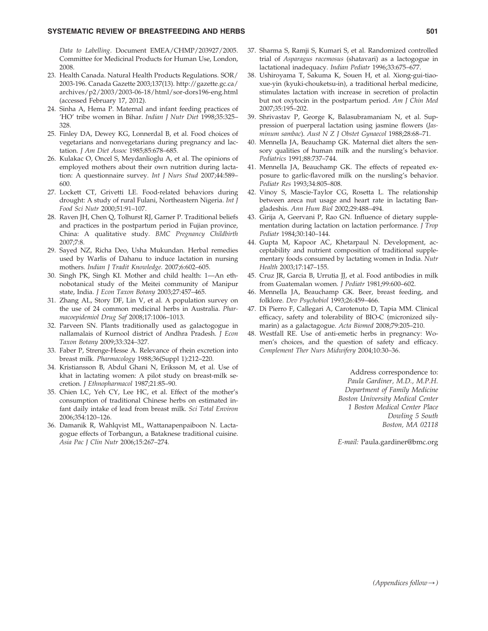## SYSTEMATIC REVIEW OF BREASTFEEDING AND HERBS 601

Data to Labelling. Document EMEA/CHMP/203927/2005. Committee for Medicinal Products for Human Use, London, 2008.

- 23. Health Canada. Natural Health Products Regulations. SOR/ 2003-196. Canada Gazette 2003;137(13). http://gazette.gc.ca/ archives/p2/2003/2003-06-18/html/sor-dors196-eng.html (accessed February 17, 2012).
- 24. Sinha A, Hema P. Maternal and infant feeding practices of 'HO' tribe women in Bihar. Indian J Nutr Diet 1998;35:325– 328.
- 25. Finley DA, Dewey KG, Lonnerdal B, et al. Food choices of vegetarians and nonvegetarians during pregnancy and lactation. J Am Diet Assoc 1985;85:678–685.
- 26. Kulakac O, Oncel S, Meydanlioglu A, et al. The opinions of employed mothers about their own nutrition during lactation: A questionnaire survey. Int J Nurs Stud 2007;44:589– 600.
- 27. Lockett CT, Grivetti LE. Food-related behaviors during drought: A study of rural Fulani, Northeastern Nigeria. Int J Food Sci Nutr 2000;51:91–107.
- 28. Raven JH, Chen Q, Tolhurst RJ, Garner P. Traditional beliefs and practices in the postpartum period in Fujian province, China: A qualitative study. BMC Pregnancy Childbirth 2007;7:8.
- 29. Sayed NZ, Richa Deo, Usha Mukundan. Herbal remedies used by Warlis of Dahanu to induce lactation in nursing mothers. Indian J Tradit Knowledge. 2007;6:602–605.
- 30. Singh PK, Singh KI. Mother and child health: 1—An ethnobotanical study of the Meitei community of Manipur state, India. J Econ Taxon Botany 2003;27:457–465.
- 31. Zhang AL, Story DF, Lin V, et al. A population survey on the use of 24 common medicinal herbs in Australia. Pharmacoepidemiol Drug Saf 2008;17:1006–1013.
- 32. Parveen SN. Plants traditionally used as galactogogue in nallamalais of Kurnool district of Andhra Pradesh. J Econ Taxon Botany 2009;33:324–327.
- 33. Faber P, Strenge-Hesse A. Relevance of rhein excretion into breast milk. Pharmacology 1988;36(Suppl 1):212–220.
- 34. Kristiansson B, Abdul Ghani N, Eriksson M, et al. Use of khat in lactating women: A pilot study on breast-milk secretion. J Ethnopharmacol 1987;21:85–90.
- 35. Chien LC, Yeh CY, Lee HC, et al. Effect of the mother's consumption of traditional Chinese herbs on estimated infant daily intake of lead from breast milk. Sci Total Environ 2006;354:120–126.
- 36. Damanik R, Wahlqvist ML, Wattanapenpaiboon N. Lactagogue effects of Torbangun, a Bataknese traditional cuisine. Asia Pac J Clin Nutr 2006;15:267–274.
- 37. Sharma S, Ramji S, Kumari S, et al. Randomized controlled trial of Asparagus racemosus (shatavari) as a lactogogue in lactational inadequacy. Indian Pediatr 1996;33:675–677.
- 38. Ushiroyama T, Sakuma K, Souen H, et al. Xiong-gui-tiaoxue-yin (kyuki-chouketsu-in), a traditional herbal medicine, stimulates lactation with increase in secretion of prolactin but not oxytocin in the postpartum period. Am J Chin Med 2007;35:195–202.
- 39. Shrivastav P, George K, Balasubramaniam N, et al. Suppression of puerperal lactation using jasmine flowers (Jasminum sambac). Aust N Z J Obstet Gynaecol 1988;28:68–71.
- 40. Mennella JA, Beauchamp GK. Maternal diet alters the sensory qualities of human milk and the nursling's behavior. Pediatrics 1991;88:737–744.
- 41. Mennella JA, Beauchamp GK. The effects of repeated exposure to garlic-flavored milk on the nursling's behavior. Pediatr Res 1993;34:805–808.
- 42. Vinoy S, Mascie-Taylor CG, Rosetta L. The relationship between areca nut usage and heart rate in lactating Bangladeshis. Ann Hum Biol 2002;29:488–494.
- 43. Girija A, Geervani P, Rao GN. Influence of dietary supplementation during lactation on lactation performance. J Trop Pediatr 1984;30:140–144.
- 44. Gupta M, Kapoor AC, Khetarpaul N. Development, acceptability and nutrient composition of traditional supplementary foods consumed by lactating women in India. Nutr Health 2003;17:147–155.
- 45. Cruz JR, Garcia B, Urrutia JJ, et al. Food antibodies in milk from Guatemalan women. J Pediatr 1981;99:600–602.
- 46. Mennella JA, Beauchamp GK. Beer, breast feeding, and folklore. Dev Psychobiol 1993;26:459–466.
- 47. Di Pierro F, Callegari A, Carotenuto D, Tapia MM. Clinical efficacy, safety and tolerability of BIO-C (micronized silymarin) as a galactagogue. Acta Biomed 2008;79:205–210.
- 48. Westfall RE. Use of anti-emetic herbs in pregnancy: Women's choices, and the question of safety and efficacy. Complement Ther Nurs Midwifery 2004;10:30–36.

Address correspondence to: Paula Gardiner, M.D., M.P.H. Department of Family Medicine Boston University Medical Center 1 Boston Medical Center Place Dowling 5 South Boston, MA 02118

E-mail: Paula.gardiner@bmc.org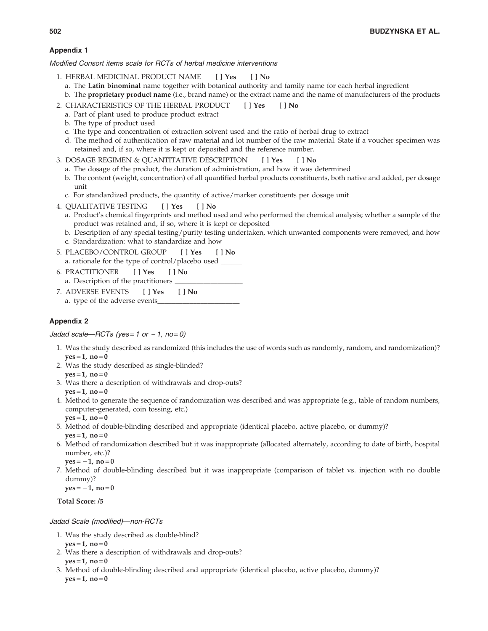# Appendix 1

Modified Consort items scale for RCTs of herbal medicine interventions

- 1. HERBAL MEDICINAL PRODUCT NAME [ ] Yes [ ] No
	- a. The Latin binominal name together with botanical authority and family name for each herbal ingredient
	- b. The proprietary product name (i.e., brand name) or the extract name and the name of manufacturers of the products
- 2. CHARACTERISTICS OF THE HERBAL PRODUCT [ ] Yes [ ] No
	- a. Part of plant used to produce product extract
	- b. The type of product used
	- c. The type and concentration of extraction solvent used and the ratio of herbal drug to extract
	- d. The method of authentication of raw material and lot number of the raw material. State if a voucher specimen was retained and, if so, where it is kept or deposited and the reference number.
- 3. DOSAGE REGIMEN & QUANTITATIVE DESCRIPTION [ ] Yes [ ] No
	- a. The dosage of the product, the duration of administration, and how it was determined
	- b. The content (weight, concentration) of all quantified herbal products constituents, both native and added, per dosage unit
	- c. For standardized products, the quantity of active/marker constituents per dosage unit
- 4. QUALITATIVE TESTING [ ] Yes [ ] No
	- a. Product's chemical fingerprints and method used and who performed the chemical analysis; whether a sample of the product was retained and, if so, where it is kept or deposited
- b. Description of any special testing/purity testing undertaken, which unwanted components were removed, and how c. Standardization: what to standardize and how
- 5. PLACEBO/CONTROL GROUP [ ] Yes [ ] No a. rationale for the type of control/placebo used \_
- 6. PRACTITIONER [ ] Yes [ ] No a. Description of the practitioners
- 7. ADVERSE EVENTS [ ] Yes [ ] No a. type of the adverse events\_

# Appendix 2

Jadad scale—RCTs (yes = 1 or  $-1$ , no = 0)

- 1. Was the study described as randomized (this includes the use of words such as randomly, random, and randomization)?  $yes = 1, no = 0$
- 2. Was the study described as single-blinded?
- $ves = 1, no = 0$
- 3. Was there a description of withdrawals and drop-outs?  $yes = 1, no = 0$
- 4. Method to generate the sequence of randomization was described and was appropriate (e.g., table of random numbers, computer-generated, coin tossing, etc.)  $ves = 1, no = 0$
- 5. Method of double-blinding described and appropriate (identical placebo, active placebo, or dummy)?  $ves = 1, no = 0$
- 6. Method of randomization described but it was inappropriate (allocated alternately, according to date of birth, hospital number, etc.)?
	- $yes = -1$ , no = 0
- 7. Method of double-blinding described but it was inappropriate (comparison of tablet vs. injection with no double dummy)?

 $yes = -1, no = 0$ 

Total Score: /5

Jadad Scale (modified)—non-RCTs

- 1. Was the study described as double-blind?
	- $yes = 1, no = 0$
- 2. Was there a description of withdrawals and drop-outs?  $ves = 1, no = 0$
- 3. Method of double-blinding described and appropriate (identical placebo, active placebo, dummy)?  $yes = 1, no = 0$